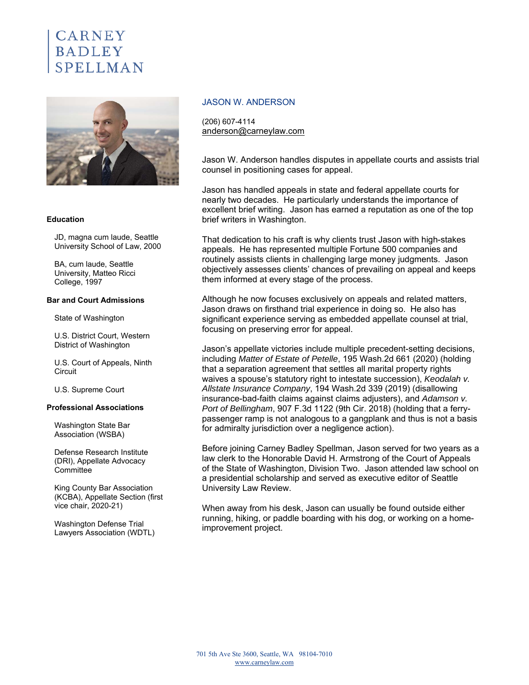# **CARNEY BADLEY**



#### **Education**

JD, magna cum laude, Seattle University School of Law, 2000

BA, cum laude, Seattle University, Matteo Ricci College, 1997

#### **Bar and Court Admissions**

State of Washington

U.S. District Court, Western District of Washington

U.S. Court of Appeals, Ninth **Circuit** 

U.S. Supreme Court

#### **Professional Associations**

Washington State Bar Association (WSBA)

Defense Research Institute (DRI), Appellate Advocacy **Committee** 

King County Bar Association (KCBA), Appellate Section (first vice chair, 2020-21)

Washington Defense Trial Lawyers Association (WDTL)

#### JASON W. ANDERSON

(206) 607-4114 anderson@carneylaw.com

Jason W. Anderson handles disputes in appellate courts and assists trial counsel in positioning cases for appeal.

Jason has handled appeals in state and federal appellate courts for nearly two decades. He particularly understands the importance of excellent brief writing. Jason has earned a reputation as one of the top brief writers in Washington.

That dedication to his craft is why clients trust Jason with high-stakes appeals. He has represented multiple Fortune 500 companies and routinely assists clients in challenging large money judgments. Jason objectively assesses clients' chances of prevailing on appeal and keeps them informed at every stage of the process.

Although he now focuses exclusively on appeals and related matters, Jason draws on firsthand trial experience in doing so. He also has significant experience serving as embedded appellate counsel at trial, focusing on preserving error for appeal.

Jason's appellate victories include multiple precedent-setting decisions, including *Matter of Estate of Petelle*, 195 Wash.2d 661 (2020) (holding that a separation agreement that settles all marital property rights waives a spouse's statutory right to intestate succession), *Keodalah v. Allstate Insurance Company*, 194 Wash.2d 339 (2019) (disallowing insurance-bad-faith claims against claims adjusters), and *Adamson v. Port of Bellingham*, 907 F.3d 1122 (9th Cir. 2018) (holding that a ferrypassenger ramp is not analogous to a gangplank and thus is not a basis for admiralty jurisdiction over a negligence action).

Before joining Carney Badley Spellman, Jason served for two years as a law clerk to the Honorable David H. Armstrong of the Court of Appeals of the State of Washington, Division Two. Jason attended law school on a presidential scholarship and served as executive editor of Seattle University Law Review.

When away from his desk, Jason can usually be found outside either running, hiking, or paddle boarding with his dog, or working on a homeimprovement project.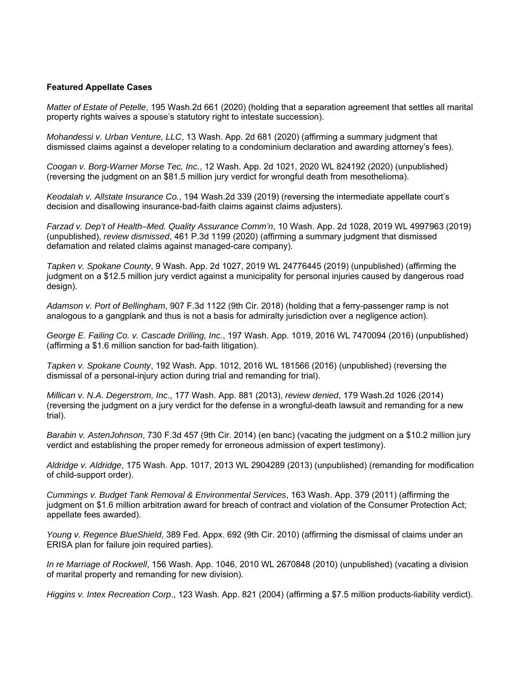### **Featured Appellate Cases**

*Matter of Estate of Petelle*, 195 Wash.2d 661 (2020) (holding that a separation agreement that settles all marital property rights waives a spouse's statutory right to intestate succession).

*Mohandessi v. Urban Venture, LLC*, 13 Wash. App. 2d 681 (2020) (affirming a summary judgment that dismissed claims against a developer relating to a condominium declaration and awarding attorney's fees).

*Coogan v. Borg-Warner Morse Tec, Inc.*, 12 Wash. App. 2d 1021, 2020 WL 824192 (2020) (unpublished) (reversing the judgment on an \$81.5 million jury verdict for wrongful death from mesothelioma).

*Keodalah v. Allstate Insurance Co.*, 194 Wash.2d 339 (2019) (reversing the intermediate appellate court's decision and disallowing insurance-bad-faith claims against claims adjusters).

*Farzad v. Dep't of Health–Med. Quality Assurance Comm'n*, 10 Wash. App. 2d 1028, 2019 WL 4997963 (2019) (unpublished), *review dismissed*, 461 P.3d 1199 (2020) (affirming a summary judgment that dismissed defamation and related claims against managed-care company).

*Tapken v. Spokane County*, 9 Wash. App. 2d 1027, 2019 WL 24776445 (2019) (unpublished) (affirming the judgment on a \$12.5 million jury verdict against a municipality for personal injuries caused by dangerous road design).

*Adamson v. Port of Bellingham*, 907 F.3d 1122 (9th Cir. 2018) (holding that a ferry-passenger ramp is not analogous to a gangplank and thus is not a basis for admiralty jurisdiction over a negligence action).

*George E. Failing Co. v. Cascade Drilling, Inc.*, 197 Wash. App. 1019, 2016 WL 7470094 (2016) (unpublished) (affirming a \$1.6 million sanction for bad-faith litigation).

*Tapken v. Spokane County*, 192 Wash. App. 1012, 2016 WL 181566 (2016) (unpublished) (reversing the dismissal of a personal-injury action during trial and remanding for trial).

*Millican v. N.A. Degerstrom, Inc*., 177 Wash. App. 881 (2013), *review denied*, 179 Wash.2d 1026 (2014) (reversing the judgment on a jury verdict for the defense in a wrongful-death lawsuit and remanding for a new trial).

*Barabin v. AstenJohnson*, 730 F.3d 457 (9th Cir. 2014) (en banc) (vacating the judgment on a \$10.2 million jury verdict and establishing the proper remedy for erroneous admission of expert testimony).

*Aldridge v. Aldridge*, 175 Wash. App. 1017, 2013 WL 2904289 (2013) (unpublished) (remanding for modification of child-support order).

*Cummings v. Budget Tank Removal & Environmental Services*, 163 Wash. App. 379 (2011) (affirming the judgment on \$1.6 million arbitration award for breach of contract and violation of the Consumer Protection Act; appellate fees awarded).

*Young v. Regence BlueShield*, 389 Fed. Appx. 692 (9th Cir. 2010) (affirming the dismissal of claims under an ERISA plan for failure join required parties).

*In re Marriage of Rockwell*, 156 Wash. App. 1046, 2010 WL 2670848 (2010) (unpublished) (vacating a division of marital property and remanding for new division).

*Higgins v. Intex Recreation Corp*., 123 Wash. App. 821 (2004) (affirming a \$7.5 million products-liability verdict).